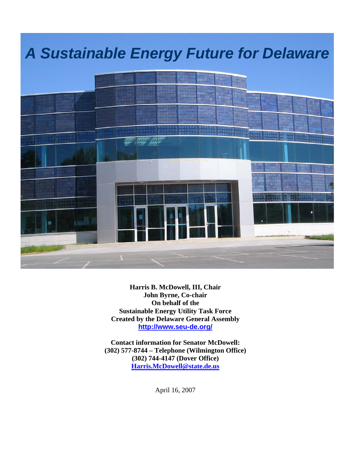

**Harris B. McDowell, III, Chair John Byrne, Co-chair On behalf of the Sustainable Energy Utility Task Force Created by the Delaware General Assembly <http://www.seu-de.org/>**

**Contact information for Senator McDowell: (302) 577-8744 – Telephone (Wilmington Office) (302) 744-4147 (Dover Office) [Harris.McDowell@state.de.us](mailto:Harris.McDowell@state.de.us)**

April 16, 2007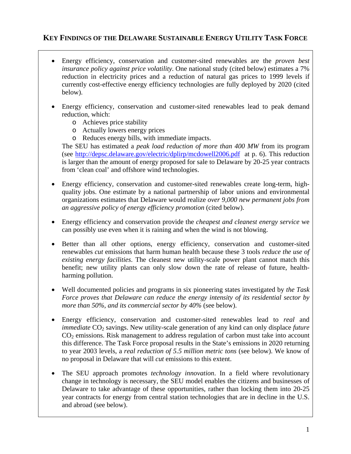# **KEY FINDINGS OF THE DELAWARE SUSTAINABLE ENERGY UTILITY TASK FORCE**

- Energy efficiency, conservation and customer-sited renewables are the *proven best insurance policy against price volatility*. One national study (cited below) estimates a 7% reduction in electricity prices and a reduction of natural gas prices to 1999 levels if currently cost-effective energy efficiency technologies are fully deployed by 2020 (cited below).
- Energy efficiency, conservation and customer-sited renewables lead to peak demand reduction, which:
	- o Achieves price stability
	- o Actually lowers energy prices
	- o Reduces energy bills, with immediate impacts.

The SEU has estimated a *peak load reduction of more than 400 MW* from its program (see <http://depsc.delaware.gov/electric/dplirp/mcdowell2006.pdf>at p. 6). This reduction is larger than the amount of energy proposed for sale to Delaware by 20-25 year contracts from 'clean coal' and offshore wind technologies.

- Energy efficiency, conservation and customer-sited renewables create long-term, highquality jobs. One estimate by a national partnership of labor unions and environmental organizations estimates that Delaware would realize *over 9,000 new permanent jobs from an aggressive policy of energy efficiency promotion* (cited below).
- Energy efficiency and conservation provide the *cheapest and cleanest energy service* we can possibly use even when it is raining and when the wind is not blowing.
- Better than all other options, energy efficiency, conservation and customer-sited renewables *cut* emissions that harm human health because these 3 tools *reduce the use of existing energy facilities*. The cleanest new utility-scale power plant cannot match this benefit; new utility plants can only slow down the rate of release of future, healthharming pollution.
- Well documented policies and programs in six pioneering states investigated by *the Task Force proves that Delaware can reduce the energy intensity of its residential sector by more than 50%, and its commercial sector by 40%* (see below).
- Energy efficiency, conservation and customer-sited renewables lead to *real* and *immediate* CO<sub>2</sub> savings. New utility-scale generation of any kind can only displace *future*  $CO<sub>2</sub>$  emissions. Risk management to address regulation of carbon must take into account this difference. The Task Force proposal results in the State's emissions in 2020 returning to year 2003 levels, a *real reduction of 5.5 million metric tons* (see below). We know of no proposal in Delaware that will *cut* emissions to this extent.
- The SEU approach promotes *technology innovation*. In a field where revolutionary change in technology is necessary, the SEU model enables the citizens and businesses of Delaware to take advantage of these opportunities, rather than locking them into 20-25 year contracts for energy from central station technologies that are in decline in the U.S. and abroad (see below).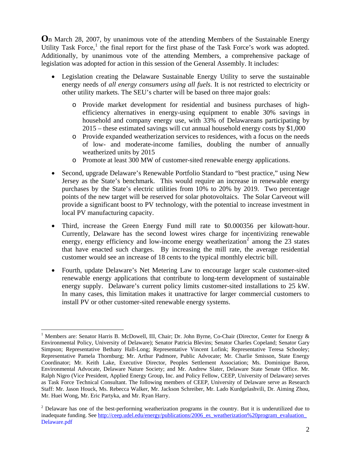**O**n March 28, 2007, by unanimous vote of the attending Members of the Sustainable Energy Utility Task Force, $<sup>1</sup>$  $<sup>1</sup>$  $<sup>1</sup>$  the final report for the first phase of the Task Force's work was adopted.</sup> Additionally, by unanimous vote of the attending Members, a comprehensive package of legislation was adopted for action in this session of the General Assembly. It includes:

- Legislation creating the Delaware Sustainable Energy Utility to serve the sustainable energy needs of *all energy consumers using all fuels*. It is not restricted to electricity or other utility markets. The SEU's charter will be based on three major goals:
	- o Provide market development for residential and business purchases of highefficiency alternatives in energy-using equipment to enable 30% savings in household and company energy use, with 33% of Delawareans participating by 2015 – these estimated savings will cut annual household energy costs by \$1,000
	- o Provide expanded weatherization services to residences, with a focus on the needs of low- and moderate-income families, doubling the number of annually weatherized units by 2015
	- o Promote at least 300 MW of customer-sited renewable energy applications.
- Second, upgrade Delaware's Renewable Portfolio Standard to "best practice," using New Jersey as the State's benchmark. This would require an increase in renewable energy purchases by the State's electric utilities from 10% to 20% by 2019. Two percentage points of the new target will be reserved for solar photovoltaics. The Solar Carveout will provide a significant boost to PV technology, with the potential to increase investment in local PV manufacturing capacity.
- Third, increase the Green Energy Fund mill rate to \$0.000356 per kilowatt-hour. Currently, Delaware has the second lowest wires charge for incentivizing renewable energy, energy efficiency and low-income energy weatherization<sup>[2](#page-2-1)</sup> among the 23 states that have enacted such charges. By increasing the mill rate, the average residential customer would see an increase of 18 cents to the typical monthly electric bill.
- Fourth, update Delaware's Net Metering Law to encourage larger scale customer-sited renewable energy applications that contribute to long-term development of sustainable energy supply. Delaware's current policy limits customer-sited installations to 25 kW. In many cases, this limitation makes it unattractive for larger commercial customers to install PV or other customer-sited renewable energy systems.

<span id="page-2-0"></span> $\overline{a}$ <sup>1</sup> Members are: Senator Harris B. McDowell, III, Chair; Dr. John Byrne, Co-Chair (Director, Center for Energy & Environmental Policy, University of Delaware); Senator Patricia Blevins; Senator Charles Copeland; Senator Gary Simpson; Representative Bethany Hall-Long; Representative Vincent Lofink; Representative Teresa Schooley; Representative Pamela Thornburg; Mr. Arthur Padmore, Public Advocate; Mr. Charlie Smisson, State Energy Coordinator; Mr. Keith Lake, Executive Director, Peoples Settlement Association; Ms. Dominique Baron, Environmental Advocate, Delaware Nature Society; and Mr. Andrew Slater, Delaware State Senate Office. Mr. Ralph Nigro (Vice President, Applied Energy Group, Inc. and Policy Fellow, CEEP, University of Delaware) serves as Task Force Technical Consultant. The following members of CEEP, University of Delaware serve as Research Staff: Mr. Jason Houck, Ms. Rebecca Walker, Mr. Jackson Schreiber, Mr. Lado Kurdgelashvili, Dr. Aiming Zhou, Mr. Huei Wong, Mr. Eric Partyka, and Mr. Ryan Harry.

<span id="page-2-1"></span> $2$  Delaware has one of the best-performing weatherization programs in the country. But it is underutilized due to inadequate funding. See [http://ceep.udel.edu/energy/publications/2006\\_es\\_weatherization%20program\\_evaluation\\_](http://ceep.udel.edu/energy/publications/2006_es_weatherization%20program_evaluation_) Delaware.pdf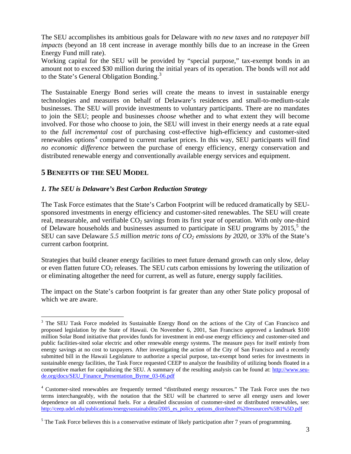The SEU accomplishes its ambitious goals for Delaware with *no new taxes* and *no ratepayer bill impacts* (beyond an 18 cent increase in average monthly bills due to an increase in the Green Energy Fund mill rate).

Working capital for the SEU will be provided by "special purpose," tax-exempt bonds in an amount not to exceed \$30 million during the initial years of its operation. The bonds will *not* add to the State's General Obligation Bonding.<sup>[3](#page-3-0)</sup>

The Sustainable Energy Bond series will create the means to invest in sustainable energy technologies and measures on behalf of Delaware's residences and small-to-medium-scale businesses. The SEU will provide investments to voluntary participants. There are no mandates to join the SEU; people and businesses *choose* whether and to what extent they will become involved. For those who choose to join, the SEU will invest in their energy needs at a rate equal to the *full incremental cost* of purchasing cost-effective high-efficiency and customer-sited renewables options<sup>[4](#page-3-1)</sup> compared to current market prices. In this way, SEU participants will find *no economic difference* between the purchase of energy efficiency, energy conservation and distributed renewable energy and conventionally available energy services and equipment.

# **5 BENEFITS OF THE SEU MODEL**

## *1. The SEU is Delaware's Best Carbon Reduction Strategy*

The Task Force estimates that the State's Carbon Footprint will be reduced dramatically by SEUsponsored investments in energy efficiency and customer-sited renewables. The SEU will create real, measurable, and verifiable  $CO<sub>2</sub>$  savings from its first year of operation. With only one-third of Delaware households and businesses assumed to participate in SEU programs by  $2015$  $2015$ ,<sup>5</sup> the SEU can save Delaware 5.5 million metric tons of  $CO<sub>2</sub>$  emissions by 2020, or 33% of the State's current carbon footprint.

Strategies that build cleaner energy facilities to meet future demand growth can only slow, delay or even flatten future CO<sub>2</sub> releases. The SEU *cuts* carbon emissions by lowering the utilization of or eliminating altogether the need for current, as well as future, energy supply facilities.

The impact on the State's carbon footprint is far greater than any other State policy proposal of which we are aware.

<span id="page-3-0"></span><sup>&</sup>lt;sup>3</sup> The SEU Task Force modeled its Sustainable Energy Bond on the actions of the City of Can Francisco and proposed legislation by the State of Hawaii. On November 6, 2001, San Francisco approved a landmark \$100 million Solar Bond initiative that provides funds for investment in end-use energy efficiency and customer-sited and public facilities-sited solar electric and other renewable energy systems. The measure pays for itself entirely from energy savings at no cost to taxpayers. After investigating the action of the City of San Francisco and a recently submitted bill in the Hawaii Legislature to authorize a special purpose, tax-exempt bond series for investments in sustainable energy facilities, the Task Force requested CEEP to analyze the feasibility of utilizing bonds floated in a competitive market for capitalizing the SEU. A summary of the resulting analysis can be found at: [http://www.seu](http://www.seu-de.org/docs/SEU_Finance_Presentation_Byrne_03-06.pdf)[de.org/docs/SEU\\_Finance\\_Presentation\\_Byrne\\_03-06.pdf](http://www.seu-de.org/docs/SEU_Finance_Presentation_Byrne_03-06.pdf)

<span id="page-3-1"></span><sup>&</sup>lt;sup>4</sup> Customer-sited renewables are frequently termed "distributed energy resources." The Task Force uses the two terms interchangeably, with the notation that the SEU will be chartered to serve all energy users and lower dependence on all conventional fuels. For a detailed discussion of customer-sited or distributed renewables, see: [http://ceep.udel.edu/publications/energysustainability/2005\\_es\\_policy\\_options\\_distributed%20resources%5B1%5D.pdf](http://ceep.udel.edu/publications/energysustainability/2005_es_policy_options_distributed%20resources%5B1%5D.pdf)

<span id="page-3-2"></span> $<sup>5</sup>$  The Task Force believes this is a conservative estimate of likely participation after 7 years of programming.</sup>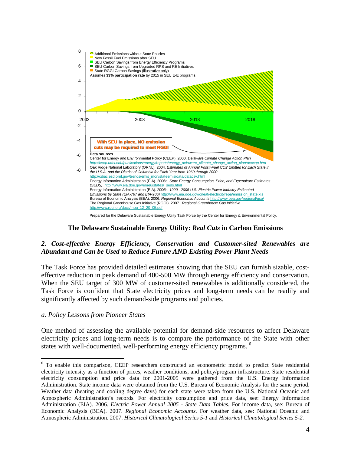

Prepared for the Delaware Sustainable Energy Utility Task Force by the Center for Energy & Environmental Policy.

### **The Delaware Sustainable Energy Utility:** *Real Cuts* **in Carbon Emissions**

### *2. Cost-effective Energy Efficiency, Conservation and Customer-sited Renewables are Abundant and Can be Used to Reduce Future AND Existing Power Plant Needs*

The Task Force has provided detailed estimates showing that the SEU can furnish sizable, costeffective reduction in peak demand of 400-500 MW through energy efficiency and conservation. When the SEU target of 300 MW of customer-sited renewables is additionally considered, the Task Force is confident that State electricity prices and long-term needs can be readily and significantly affected by such demand-side programs and policies.

#### *a. Policy Lessons from Pioneer States*

One method of assessing the available potential for demand-side resources to affect Delaware electricity prices and long-term needs is to compare the performance of the State with other states with well-documented, well-performing energy efficiency programs.<sup>[6](#page-4-0)</sup>

<span id="page-4-0"></span><sup>&</sup>lt;sup>6</sup> To enable this comparison, CEEP researchers constructed an econometric model to predict State residential electricity intensity as a function of prices, weather conditions, and policy/program infrastructure. State residential electricity consumption and price data for 2001-2005 were gathered from the U.S. Energy Information Administration. State income data were obtained from the U.S. Bureau of Economic Analysis for the same period. Weather data (heating and cooling degree days) for each state were taken from the U.S. National Oceanic and Atmospheric Administration's records. For electricity consumption and price data, see: Energy Information Administration (EIA). 2006. *Electric Power Annual 2005 - State Data Tables.* For income data, see: Bureau of Economic Analysis (BEA). 2007. *Regional Economic Accounts*. For weather data, see: National Oceanic and Atmospheric Administration. 2007. *Historical Climatological Series 5-1* and *Historical Climatological Series 5-2*.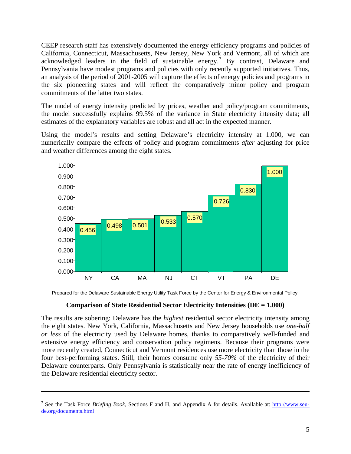CEEP research staff has extensively documented the energy efficiency programs and policies of California, Connecticut, Massachusetts, New Jersey, New York and Vermont, all of which are acknowledged leaders in the field of sustainable energy.<sup>[7](#page-5-0)</sup> By contrast, Delaware and Pennsylvania have modest programs and policies with only recently supported initiatives. Thus, an analysis of the period of 2001-2005 will capture the effects of energy policies and programs in the six pioneering states and will reflect the comparatively minor policy and program commitments of the latter two states.

The model of energy intensity predicted by prices, weather and policy/program commitments, the model successfully explains 99.5% of the variance in State electricity intensity data; all estimates of the explanatory variables are robust and all act in the expected manner.

Using the model's results and setting Delaware's electricity intensity at 1.000, we can numerically compare the effects of policy and program commitments *after* adjusting for price and weather differences among the eight states.



Prepared for the Delaware Sustainable Energy Utility Task Force by the Center for Energy & Environmental Policy.

### **Comparison of State Residential Sector Electricity Intensities (DE = 1.000)**

The results are sobering: Delaware has the *highest* residential sector electricity intensity among the eight states. New York, California, Massachusetts and New Jersey households use *one-half or less* of the electricity used by Delaware homes, thanks to comparatively well-funded and extensive energy efficiency and conservation policy regimens. Because their programs were more recently created, Connecticut and Vermont residences use more electricity than those in the four best-performing states. Still, their homes consume only *55-70%* of the electricity of their Delaware counterparts. Only Pennsylvania is statistically near the rate of energy inefficiency of the Delaware residential electricity sector.

 $\overline{a}$ 

<span id="page-5-0"></span><sup>&</sup>lt;sup>7</sup> See the Task Force *Briefing Book*, Sections F and H, and Appendix A for details. Available at: [http://www.seu](http://www.seu-de.org/documents.html)[de.org/documents.html](http://www.seu-de.org/documents.html)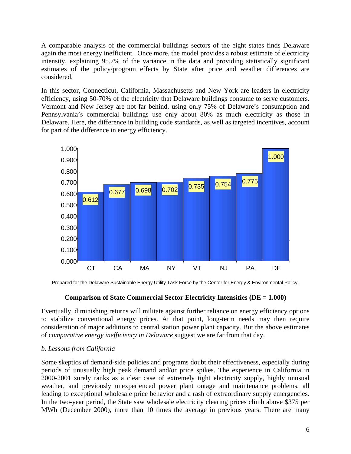A comparable analysis of the commercial buildings sectors of the eight states finds Delaware again the most energy inefficient. Once more, the model provides a robust estimate of electricity intensity, explaining 95.7% of the variance in the data and providing statistically significant estimates of the policy/program effects by State after price and weather differences are considered.

In this sector, Connecticut, California, Massachusetts and New York are leaders in electricity efficiency, using 50-70% of the electricity that Delaware buildings consume to serve customers. Vermont and New Jersey are not far behind, using only 75% of Delaware's consumption and Pennsylvania's commercial buildings use only about 80% as much electricity as those in Delaware. Here, the difference in building code standards, as well as targeted incentives, account for part of the difference in energy efficiency.



Prepared for the Delaware Sustainable Energy Utility Task Force by the Center for Energy & Environmental Policy.

### **Comparison of State Commercial Sector Electricity Intensities (DE = 1.000)**

Eventually, diminishing returns will militate against further reliance on energy efficiency options to stabilize conventional energy prices. At that point, long-term needs may then require consideration of major additions to central station power plant capacity. But the above estimates of c*omparative energy inefficiency in Delaware* suggest we are far from that day.

### *b. Lessons from California*

Some skeptics of demand-side policies and programs doubt their effectiveness, especially during periods of unusually high peak demand and/or price spikes. The experience in California in 2000-2001 surely ranks as a clear case of extremely tight electricity supply, highly unusual weather, and previously unexperienced power plant outage and maintenance problems, all leading to exceptional wholesale price behavior and a rash of extraordinary supply emergencies. In the two-year period, the State saw wholesale electricity clearing prices climb above \$375 per MWh (December 2000), more than 10 times the average in previous years. There are many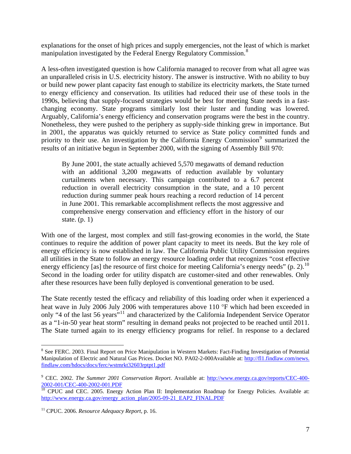explanations for the onset of high prices and supply emergencies, not the least of which is market manipulation investigated by the Federal Energy Regulatory Commission.<sup>[8](#page-7-0)</sup>

A less-often investigated question is how California managed to recover from what all agree was an unparalleled crisis in U.S. electricity history. The answer is instructive. With no ability to buy or build new power plant capacity fast enough to stabilize its electricity markets, the State turned to energy efficiency and conservation. Its utilities had reduced their use of these tools in the 1990s, believing that supply-focused strategies would be best for meeting State needs in a fastchanging economy. State programs similarly lost their luster and funding was lowered. Arguably, California's energy efficiency and conservation programs were the best in the country. Nonetheless, they were pushed to the periphery as supply-side thinking grew in importance. But in 2001, the apparatus was quickly returned to service as State policy committed funds and priority to their use. An investigation by the California Energy Commission<sup>[9](#page-7-1)</sup> summarized the results of an initiative begun in September 2000, with the signing of Assembly Bill 970:

By June 2001, the state actually achieved 5,570 megawatts of demand reduction with an additional 3,200 megawatts of reduction available by voluntary curtailments when necessary. This campaign contributed to a 6.7 percent reduction in overall electricity consumption in the state, and a 10 percent reduction during summer peak hours reaching a record reduction of 14 percent in June 2001. This remarkable accomplishment reflects the most aggressive and comprehensive energy conservation and efficiency effort in the history of our state. (p. 1)

With one of the largest, most complex and still fast-growing economies in the world, the State continues to require the addition of power plant capacity to meet its needs. But the key role of energy efficiency is now established in law. The California Public Utility Commission requires all utilities in the State to follow an energy resource loading order that recognizes "cost effective energy efficiency [as] the resource of first choice for meeting California's energy needs" (p. 2).<sup>[10](#page-7-2)</sup> Second in the loading order for utility dispatch are customer-sited and other renewables. Only after these resources have been fully deployed is conventional generation to be used.

The State recently tested the efficacy and reliability of this loading order when it experienced a heat wave in July 2006 July 2006 with temperatures above 110 °F which had been exceeded in only "4 of the last 56 years"[11](#page-7-3) and characterized by the California Independent Service Operator as a "1-in-50 year heat storm" resulting in demand peaks not projected to be reached until 2011. The State turned again to its energy efficiency programs for relief. In response to a declared

 $\overline{a}$ 

<span id="page-7-0"></span><sup>&</sup>lt;sup>8</sup> See FERC. 2003. Final Report on Price Manipulation in Western Markets: Fact-Finding Investigation of Potential Manipulation of Electric and Natural Gas Prices. Docket NO. PA02-2-000Available at: [http://fl1.findlaw.com/news.](http://fl1.findlaw.com/news.%20findlaw.com/hdocs/docs/ferc/wstmrkt32603rptpt1.pdf)  [findlaw.com/hdocs/docs/ferc/wstmrkt32603rptpt1.pdf](http://fl1.findlaw.com/news.%20findlaw.com/hdocs/docs/ferc/wstmrkt32603rptpt1.pdf)

<span id="page-7-1"></span><sup>&</sup>lt;sup>9</sup> CEC. 2002. *The Summer 2001 Conservation Report*. Available at: [http://www.energy.ca.gov/reports/CEC-400-](http://www.energy.ca.gov/reports/CEC-400-2002-001/CEC-400-2002-001.PDF) [2002-001/CEC-400-2002-001.PDF](http://www.energy.ca.gov/reports/CEC-400-2002-001/CEC-400-2002-001.PDF)

<span id="page-7-2"></span><sup>&</sup>lt;sup>10</sup> CPUC and CEC. 2005. Energy Action Plan II: Implementation Roadmap for Energy Policies. Available at: [http://www.energy.ca.gov/energy\\_action\\_plan/2005-09-21\\_EAP2\\_FINAL.PDF](http://www.energy.ca.gov/energy_action_plan/2005-09-21_EAP2_FINAL.PDF)

<span id="page-7-3"></span><sup>11</sup> CPUC. 2006. *Resource Adequacy Report*, p. 16.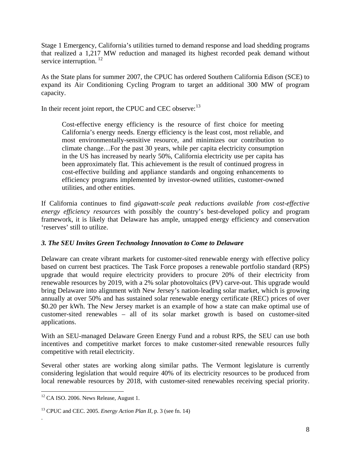Stage 1 Emergency, California's utilities turned to demand response and load shedding programs that realized a 1,217 MW reduction and managed its highest recorded peak demand without service interruption.<sup>[12](#page-8-0)</sup>

As the State plans for summer 2007, the CPUC has ordered Southern California Edison (SCE) to expand its Air Conditioning Cycling Program to target an additional 300 MW of program capacity.

In their recent joint report, the CPUC and CEC observe: $^{13}$  $^{13}$  $^{13}$ 

Cost-effective energy efficiency is the resource of first choice for meeting California's energy needs. Energy efficiency is the least cost, most reliable, and most environmentally-sensitive resource, and minimizes our contribution to climate change…For the past 30 years, while per capita electricity consumption in the US has increased by nearly 50%, California electricity use per capita has been approximately flat. This achievement is the result of continued progress in cost-effective building and appliance standards and ongoing enhancements to efficiency programs implemented by investor-owned utilities, customer-owned utilities, and other entities.

If California continues to find *gigawatt-scale peak reductions available from cost-effective energy efficiency resources* with possibly the country's best-developed policy and program framework, it is likely that Delaware has ample, untapped energy efficiency and conservation 'reserves' still to utilize.

## *3. The SEU Invites Green Technology Innovation to Come to Delaware*

Delaware can create vibrant markets for customer-sited renewable energy with effective policy based on current best practices. The Task Force proposes a renewable portfolio standard (RPS) upgrade that would require electricity providers to procure 20% of their electricity from renewable resources by 2019, with a 2% solar photovoltaics (PV) carve-out. This upgrade would bring Delaware into alignment with New Jersey's nation-leading solar market, which is growing annually at over 50% and has sustained solar renewable energy certificate (REC) prices of over \$0.20 per kWh. The New Jersey market is an example of how a state can make optimal use of customer-sited renewables – all of its solar market growth is based on customer-sited applications.

With an SEU-managed Delaware Green Energy Fund and a robust RPS, the SEU can use both incentives and competitive market forces to make customer-sited renewable resources fully competitive with retail electricity.

Several other states are working along similar paths. The Vermont legislature is currently considering legislation that would require 40% of its electricity resources to be produced from local renewable resources by 2018, with customer-sited renewables receiving special priority.

.

<span id="page-8-0"></span> $\overline{a}$  $12$  CA ISO. 2006. News Release, August 1.

<span id="page-8-1"></span><sup>13</sup> CPUC and CEC. 2005. *Energy Action Plan II*, p. 3 (see fn. 14)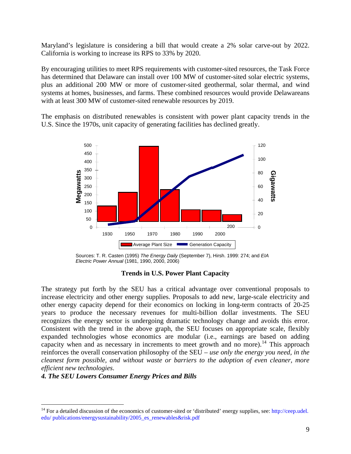Maryland's legislature is considering a bill that would create a 2% solar carve-out by 2022. California is working to increase its RPS to 33% by 2020.

By encouraging utilities to meet RPS requirements with customer-sited resources, the Task Force has determined that Delaware can install over 100 MW of customer-sited solar electric systems, plus an additional 200 MW or more of customer-sited geothermal, solar thermal, and wind systems at homes, businesses, and farms. These combined resources would provide Delawareans with at least 300 MW of customer-sited renewable resources by 2019.

The emphasis on distributed renewables is consistent with power plant capacity trends in the U.S. Since the 1970s, unit capacity of generating facilities has declined greatly.



Sources: T. R. Casten (1995) *The Energy Daily* (September 7), Hirsh. 1999: 274; and *EIA Electric Power Annual* (1981, 1990, 2000, 2006)

#### **Trends in U.S. Power Plant Capacity**

The strategy put forth by the SEU has a critical advantage over conventional proposals to increase electricity and other energy supplies. Proposals to add new, large-scale electricity and other energy capacity depend for their economics on locking in long-term contracts of 20-25 years to produce the necessary revenues for multi-billion dollar investments. The SEU recognizes the energy sector is undergoing dramatic technology change and avoids this error. Consistent with the trend in the above graph, the SEU focuses on appropriate scale, flexibly expanded technologies whose economics are modular (i.e., earnings are based on adding capacity when and as necessary in increments to meet growth and no more).<sup>[14](#page-9-0)</sup> This approach reinforces the overall conservation philosophy of the SEU – *use only the energy you need, in the cleanest form possible, and without waste or barriers to the adoption of even cleaner, more efficient new technologies*.

*4. The SEU Lowers Consumer Energy Prices and Bills* 

 $\overline{a}$ 

<span id="page-9-0"></span><sup>&</sup>lt;sup>14</sup> For a detailed discussion of the economics of customer-sited or 'distributed' energy supplies, see: http://ceep.udel. edu/ publications/energysustainability/2005\_es\_renewables&risk.pdf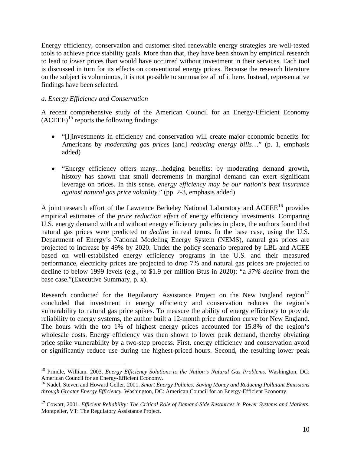Energy efficiency, conservation and customer-sited renewable energy strategies are well-tested tools to achieve price stability goals. More than that, they have been shown by empirical research to lead to *lower* prices than would have occurred without investment in their services. Each tool is discussed in turn for its effects on conventional energy prices. Because the research literature on the subject is voluminous, it is not possible to summarize all of it here. Instead, representative findings have been selected.

### *a. Energy Efficiency and Conservation*

<u>.</u>

A recent comprehensive study of the American Council for an Energy-Efficient Economy  $(ACEEE)^{15}$  $(ACEEE)^{15}$  $(ACEEE)^{15}$  reports the following findings:

- "[I]investments in efficiency and conservation will create major economic benefits for Americans by *moderating gas prices* [and] *reducing energy bills*…" (p. 1, emphasis added)
- "Energy efficiency offers many...hedging benefits: by moderating demand growth, history has shown that small decrements in marginal demand can exert significant leverage on prices. In this sense, *energy efficiency may be our nation's best insurance against natural gas price volatility.*" (pp. 2-3, emphasis added)

A joint research effort of the Lawrence Berkeley National Laboratory and ACEEE<sup>[16](#page-10-1)</sup> provides empirical estimates of the *price reduction effect* of energy efficiency investments. Comparing U.S. energy demand with and without energy efficiency policies in place, the authors found that natural gas prices were predicted to *decline* in real terms*.* In the base case, using the U.S. Department of Energy's National Modeling Energy System (NEMS), natural gas prices are projected to increase by 49% by 2020. Under the policy scenario prepared by LBL and ACEE based on well-established energy efficiency programs in the U.S. and their measured performance, electricity prices are projected to drop 7% and natural gas prices are projected to decline to below 1999 levels (e.g., to \$1.9 per million Btus in 2020): "a *37% decline* from the base case."(Executive Summary, p. x).

Research conducted for the Regulatory Assistance Project on the New England region<sup>[17](#page-10-2)</sup> concluded that investment in energy efficiency and conservation reduces the region's vulnerability to natural gas price spikes. To measure the ability of energy efficiency to provide reliability to energy systems, the author built a 12-month price duration curve for New England. The hours with the top 1% of highest energy prices accounted for 15.8% of the region's wholesale costs. Energy efficiency was then shown to lower peak demand, thereby obviating price spike vulnerability by a two-step process. First, energy efficiency and conservation avoid or significantly reduce use during the highest-priced hours. Second, the resulting lower peak

<span id="page-10-0"></span><sup>&</sup>lt;sup>15</sup> Prindle, William. 2003. *Energy Efficiency Solutions to the Nation's Natural Gas Problems*. Washington, DC: American Council for an Energy-Efficient Economy.

<span id="page-10-1"></span><sup>16</sup> Nadel, Steven and Howard Geller. 2001. *Smart Energy Policies: Saving Money and Reducing Pollutant Emissions through Greater Energy Efficiency*. Washington, DC: American Council for an Energy-Efficient Economy.

<span id="page-10-2"></span><sup>17</sup> Cowart, 2001. *Efficient Reliability: The Critical Role of Demand-Side Resources in Power Systems and Markets*. Montpelier, VT: The Regulatory Assistance Project.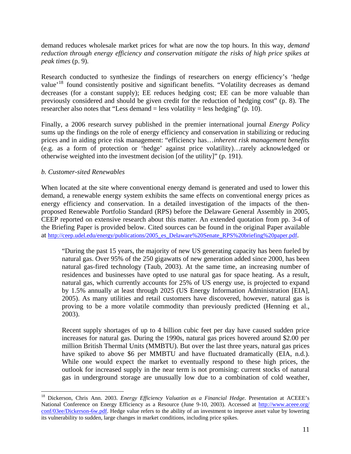demand reduces wholesale market prices for what are now the top hours. In this way, *demand reduction through energy efficiency and conservation mitigate the risks of high price spikes at peak times* (p. 9)*.* 

Research conducted to synthesize the findings of researchers on energy efficiency's 'hedge value<sup>'[18](#page-11-0)</sup> found consistently positive and significant benefits. "Volatility decreases as demand decreases (for a constant supply); EE reduces hedging cost; EE can be more valuable than previously considered and should be given credit for the reduction of hedging cost" (p. 8). The researcher also notes that "Less demand  $=$  less volatility  $=$  less hedging" (p. 10).

Finally, a 2006 research survey published in the premier international journal *Energy Policy* sums up the findings on the role of energy efficiency and conservation in stabilizing or reducing prices and in aiding price risk management: "efficiency has…*inherent risk management benefits* (e.g. as a form of protection or 'hedge' against price volatility)…rarely acknowledged or otherwise weighted into the investment decision [of the utility]" (p. 191).

### *b. Customer-sited Renewables*

 $\overline{a}$ 

When located at the site where conventional energy demand is generated and used to lower this demand, a renewable energy system exhibits the same effects on conventional energy prices as energy efficiency and conservation. In a detailed investigation of the impacts of the thenproposed Renewable Portfolio Standard (RPS) before the Delaware General Assembly in 2005, CEEP reported on extensive research about this matter. An extended quotation from pp. 3-4 of the Briefing Paper is provided below. Cited sources can be found in the original Paper available at [http://ceep.udel.edu/energy/publications/2005\\_es\\_Delaware%20Senate\\_RPS%20briefing%20paper.pdf.](http://ceep.udel.edu/energy/publications/2005_es_Delaware%20Senate_RPS%20briefing%20paper.pdf)

"During the past 15 years, the majority of new US generating capacity has been fueled by natural gas. Over 95% of the 250 gigawatts of new generation added since 2000, has been natural gas-fired technology (Taub, 2003). At the same time, an increasing number of residences and businesses have opted to use natural gas for space heating. As a result, natural gas, which currently accounts for 25% of US energy use, is projected to expand by 1.5% annually at least through 2025 (US Energy Information Administration [EIA], 2005). As many utilities and retail customers have discovered, however, natural gas is proving to be a more volatile commodity than previously predicted (Henning et al., 2003).

Recent supply shortages of up to 4 billion cubic feet per day have caused sudden price increases for natural gas. During the 1990s, natural gas prices hovered around \$2.00 per million British Thermal Units (MMBTU). But over the last three years, natural gas prices have spiked to above \$6 per MMBTU and have fluctuated dramatically (EIA, n.d.). While one would expect the market to eventually respond to these high prices, the outlook for increased supply in the near term is not promising: current stocks of natural gas in underground storage are unusually low due to a combination of cold weather,

<span id="page-11-0"></span><sup>&</sup>lt;sup>18</sup> Dickerson, Chris Ann. 2003. *Energy Efficiency Valuation as a Financial Hedge*. Presentation at ACEEE's National Conference on Energy Efficiency as a Resource (June 9-10, 2003). Accessed at [http://www.aceee.org/](http://www.aceee.org/%20conf/03ee/Dickerson-6w.pdf)  [conf/03ee/Dickerson-6w.pdf.](http://www.aceee.org/%20conf/03ee/Dickerson-6w.pdf) Hedge value refers to the ability of an investment to improve asset value by lowering its vulnerability to sudden, large changes in market conditions, including price spikes.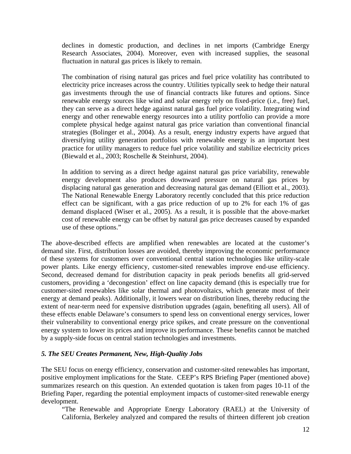declines in domestic production, and declines in net imports (Cambridge Energy Research Associates, 2004). Moreover, even with increased supplies, the seasonal fluctuation in natural gas prices is likely to remain.

The combination of rising natural gas prices and fuel price volatility has contributed to electricity price increases across the country. Utilities typically seek to hedge their natural gas investments through the use of financial contracts like futures and options. Since renewable energy sources like wind and solar energy rely on fixed-price (i.e., free) fuel, they can serve as a direct hedge against natural gas fuel price volatility. Integrating wind energy and other renewable energy resources into a utility portfolio can provide a more complete physical hedge against natural gas price variation than conventional financial strategies (Bolinger et al., 2004). As a result, energy industry experts have argued that diversifying utility generation portfolios with renewable energy is an important best practice for utility managers to reduce fuel price volatility and stabilize electricity prices (Biewald et al., 2003; Roschelle & Steinhurst, 2004).

In addition to serving as a direct hedge against natural gas price variability, renewable energy development also produces downward pressure on natural gas prices by displacing natural gas generation and decreasing natural gas demand (Elliott et al., 2003). The National Renewable Energy Laboratory recently concluded that this price reduction effect can be significant, with a gas price reduction of up to 2% for each 1% of gas demand displaced (Wiser et al., 2005). As a result, it is possible that the above-market cost of renewable energy can be offset by natural gas price decreases caused by expanded use of these options."

The above-described effects are amplified when renewables are located at the customer's demand site. First, distribution losses are avoided, thereby improving the economic performance of these systems for customers over conventional central station technologies like utility-scale power plants. Like energy efficiency, customer-sited renewables improve end-use efficiency. Second, decreased demand for distribution capacity in peak periods benefits all grid-served customers, providing a 'decongestion' effect on line capacity demand (this is especially true for customer-sited renewables like solar thermal and photovoltaics, which generate most of their energy at demand peaks). Additionally, it lowers wear on distribution lines, thereby reducing the extent of near-term need for expensive distribution upgrades (again, benefiting all users). All of these effects enable Delaware's consumers to spend less on conventional energy services, lower their vulnerability to conventional energy price spikes, and create pressure on the conventional energy system to lower its prices and improve its performance. These benefits cannot be matched by a supply-side focus on central station technologies and investments.

### *5. The SEU Creates Permanent, New, High-Quality Jobs*

The SEU focus on energy efficiency, conservation and customer-sited renewables has important, positive employment implications for the State. CEEP's RPS Briefing Paper (mentioned above) summarizes research on this question. An extended quotation is taken from pages 10-11 of the Briefing Paper, regarding the potential employment impacts of customer-sited renewable energy development.

"The Renewable and Appropriate Energy Laboratory (RAEL) at the University of California, Berkeley analyzed and compared the results of thirteen different job creation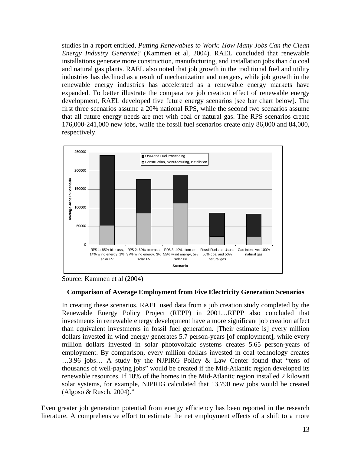studies in a report entitled, *Putting Renewables to Work: How Many Jobs Can the Clean Energy Industry Generate?* (Kammen et al, 2004). RAEL concluded that renewable installations generate more construction, manufacturing, and installation jobs than do coal and natural gas plants. RAEL also noted that job growth in the traditional fuel and utility industries has declined as a result of mechanization and mergers, while job growth in the renewable energy industries has accelerated as a renewable energy markets have expanded. To better illustrate the comparative job creation effect of renewable energy development, RAEL developed five future energy scenarios [see bar chart below]. The first three scenarios assume a 20% national RPS, while the second two scenarios assume that all future energy needs are met with coal or natural gas. The RPS scenarios create 176,000-241,000 new jobs, while the fossil fuel scenarios create only 86,000 and 84,000, respectively.



Source: Kammen et al (2004)

### **Comparison of Average Employment from Five Electricity Generation Scenarios**

In creating these scenarios, RAEL used data from a job creation study completed by the Renewable Energy Policy Project (REPP) in 2001…REPP also concluded that investments in renewable energy development have a more significant job creation affect than equivalent investments in fossil fuel generation. [Their estimate is] every million dollars invested in wind energy generates 5.7 person-years [of employment], while every million dollars invested in solar photovoltaic systems creates 5.65 person-years of employment. By comparison, every million dollars invested in coal technology creates …3.96 jobs… A study by the NJPIRG Policy & Law Center found that "tens of thousands of well-paying jobs" would be created if the Mid-Atlantic region developed its renewable resources. If 10% of the homes in the Mid-Atlantic region installed 2 kilowatt solar systems, for example, NJPRIG calculated that 13,790 new jobs would be created (Algoso & Rusch, 2004)."

Even greater job generation potential from energy efficiency has been reported in the research literature. A comprehensive effort to estimate the net employment effects of a shift to a more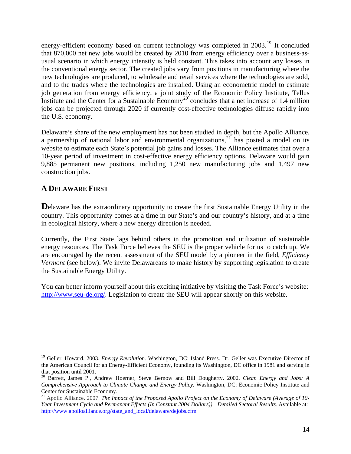energy-efficient economy based on current technology was completed in 2003.<sup>[19](#page-14-0)</sup> It concluded that 870,000 net new jobs would be created by 2010 from energy efficiency over a business-asusual scenario in which energy intensity is held constant. This takes into account any losses in the conventional energy sector. The created jobs vary from positions in manufacturing where the new technologies are produced, to wholesale and retail services where the technologies are sold, and to the trades where the technologies are installed. Using an econometric model to estimate job generation from energy efficiency, a joint study of the Economic Policy Institute, Tellus Institute and the Center for a Sustainable Economy<sup>[20](#page-14-1)</sup> concludes that a net increase of 1.4 million jobs can be projected through 2020 if currently cost-effective technologies diffuse rapidly into the U.S. economy.

Delaware's share of the new employment has not been studied in depth, but the Apollo Alliance, a partnership of national labor and environmental organizations,  $2^{\circ}$  has posted a model on its website to estimate each State's potential job gains and losses. The Alliance estimates that over a 10-year period of investment in cost-effective energy efficiency options, Delaware would gain 9,885 permanent new positions, including 1,250 new manufacturing jobs and 1,497 new construction jobs.

# **A DELAWARE FIRST**

**D**elaware has the extraordinary opportunity to create the first Sustainable Energy Utility in the country. This opportunity comes at a time in our State's and our country's history, and at a time in ecological history, where a new energy direction is needed.

Currently, the First State lags behind others in the promotion and utilization of sustainable energy resources. The Task Force believes the SEU is the proper vehicle for us to catch up. We are encouraged by the recent assessment of the SEU model by a pioneer in the field, *Efficiency Vermont* (see below). We invite Delawareans to make history by supporting legislation to create the Sustainable Energy Utility.

You can better inform yourself about this exciting initiative by visiting the Task Force's website: <http://www.seu-de.org/>. Legislation to create the SEU will appear shortly on this website.

<span id="page-14-0"></span> $\overline{a}$ <sup>19</sup> Geller, Howard. 2003. *Energy Revolution*. Washington, DC: Island Press. Dr. Geller was Executive Director of the American Council for an Energy-Efficient Economy, founding its Washington, DC office in 1981 and serving in that position until 2001.

<span id="page-14-1"></span><sup>20</sup> Barrett, James P., Andrew Hoerner, Steve Bernow and Bill Dougherty. 2002. *Clean Energy and Jobs: A Comprehensive Approach to Climate Change and Energy Policy.* Washington, DC: Economic Policy Institute and Center for Sustainable Economy.

<span id="page-14-2"></span><sup>21</sup> Apollo Alliance. 2007. *The Impact of the Proposed Apollo Project on the Economy of Delaware (Average of 10- Year Investment Cycle and Permanent Effects (In Constant 2004 Dollars))—Detailed Sectoral Results.* Available at: [http://www.apolloalliance.org/state\\_and\\_local/delaware/dejobs.cfm](http://www.apolloalliance.org/state_and_local/delaware/dejobs.cfm)